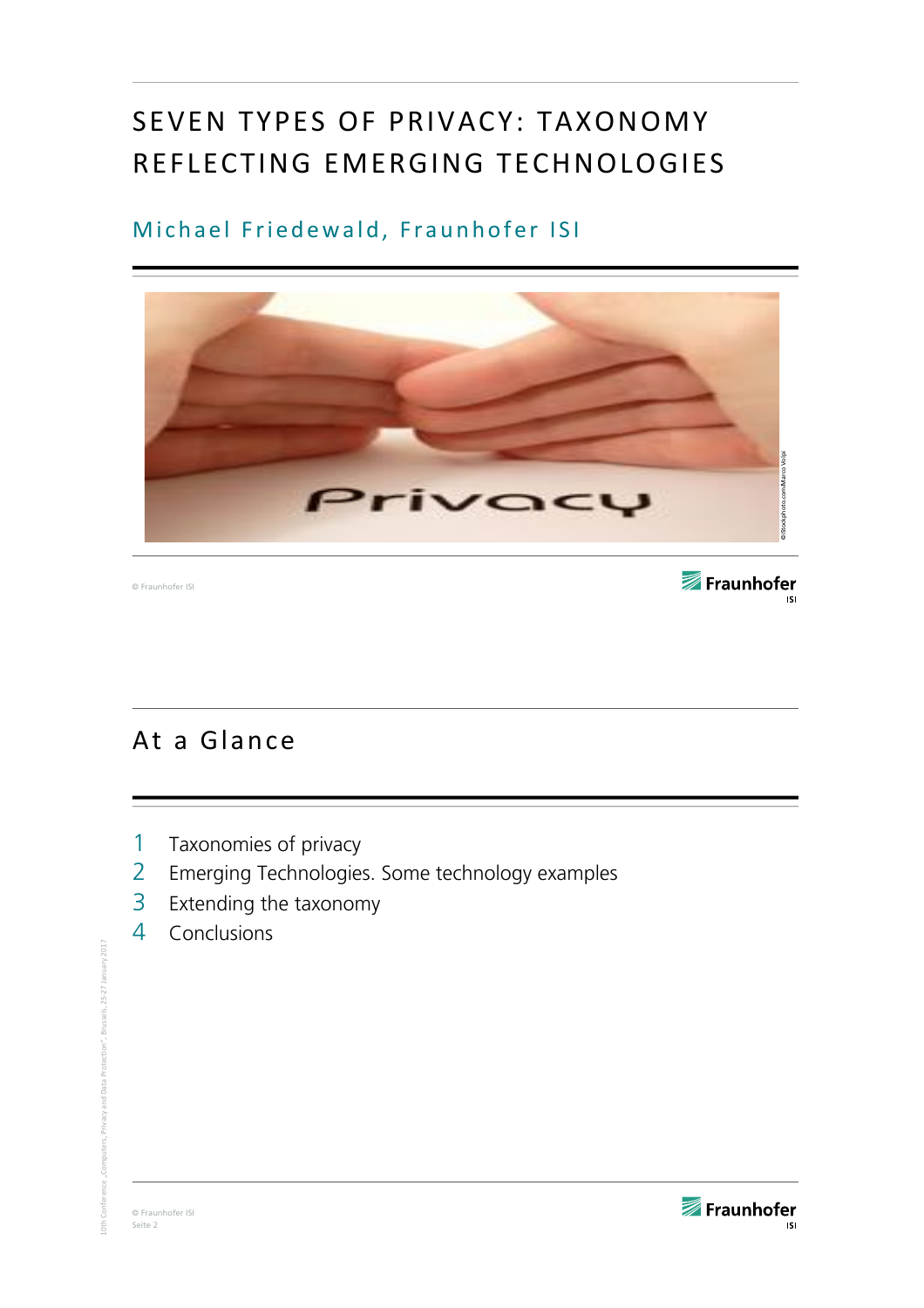# SEVEN TYPES OF PRIVACY: TAXONOMY REFLECTING EMERGING TECHNOLOGIES

#### Michael Friedewald, Fraunhofer ISI



© Fraunhofer ISI

Fraunhofer **ISI** 

### At a Glance

- 1 Taxonomies of privacy
- 2 Emerging Technologies. Some technology examples
- 3 Extending the taxonomy
- 4 Conclusions

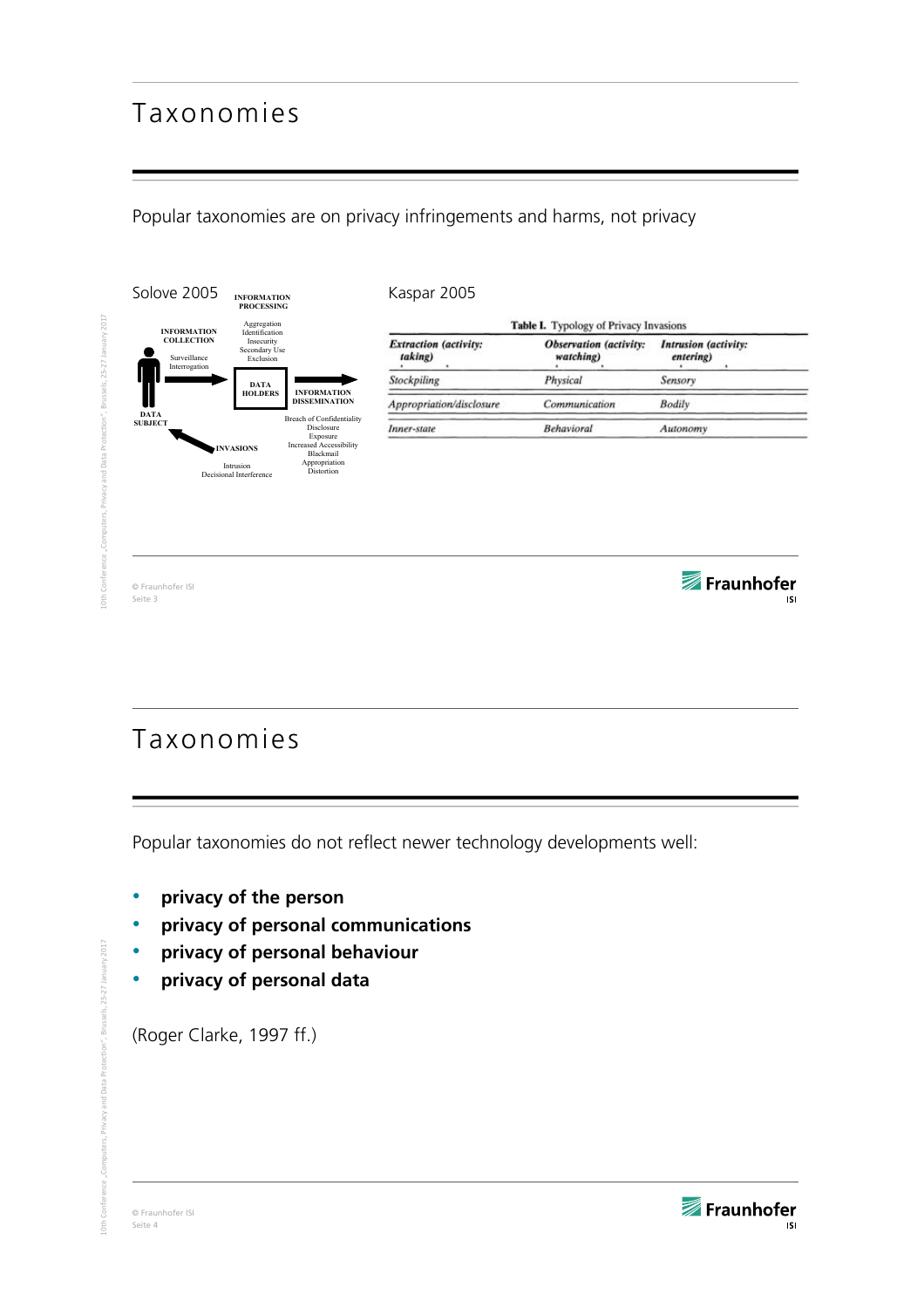### Taxonomies

Popular taxonomies are on privacy infringements and harms, not privacy



## Taxonomies

Popular taxonomies do not reflect newer technology developments well:

- **privacy of the person**
- **privacy of personal communications**
- **privacy of personal behaviour**
- **privacy of personal data**

(Roger Clarke, 1997 ff.)

2017

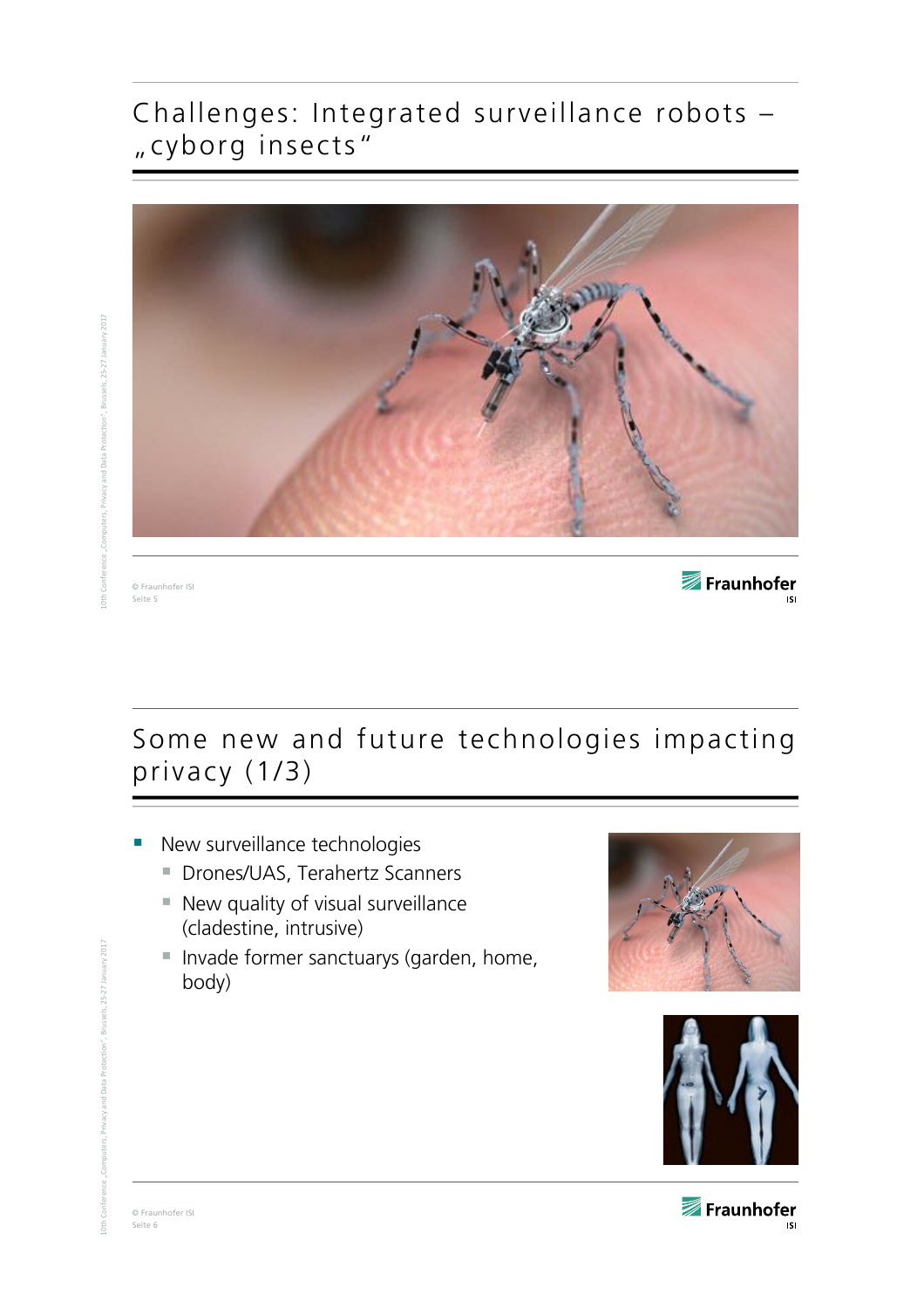### Challenges: Integrated surveillance robots – "cyborg insects"



anuary  $2017$  $10$ th $\,$  Conference "Computers, Privacy and Data Protection", Brussels, 25-27 January 2017

© Fraunhofer ISI Seite 5

Fraunhofer

# Some new and future technologies impacting privacy (1/3)

- New surveillance technologies
	- § Drones/UAS, Terahertz Scanners
	- New quality of visual surveillance (cladestine, intrusive)
	- Invade former sanctuarys (garden, home, body)





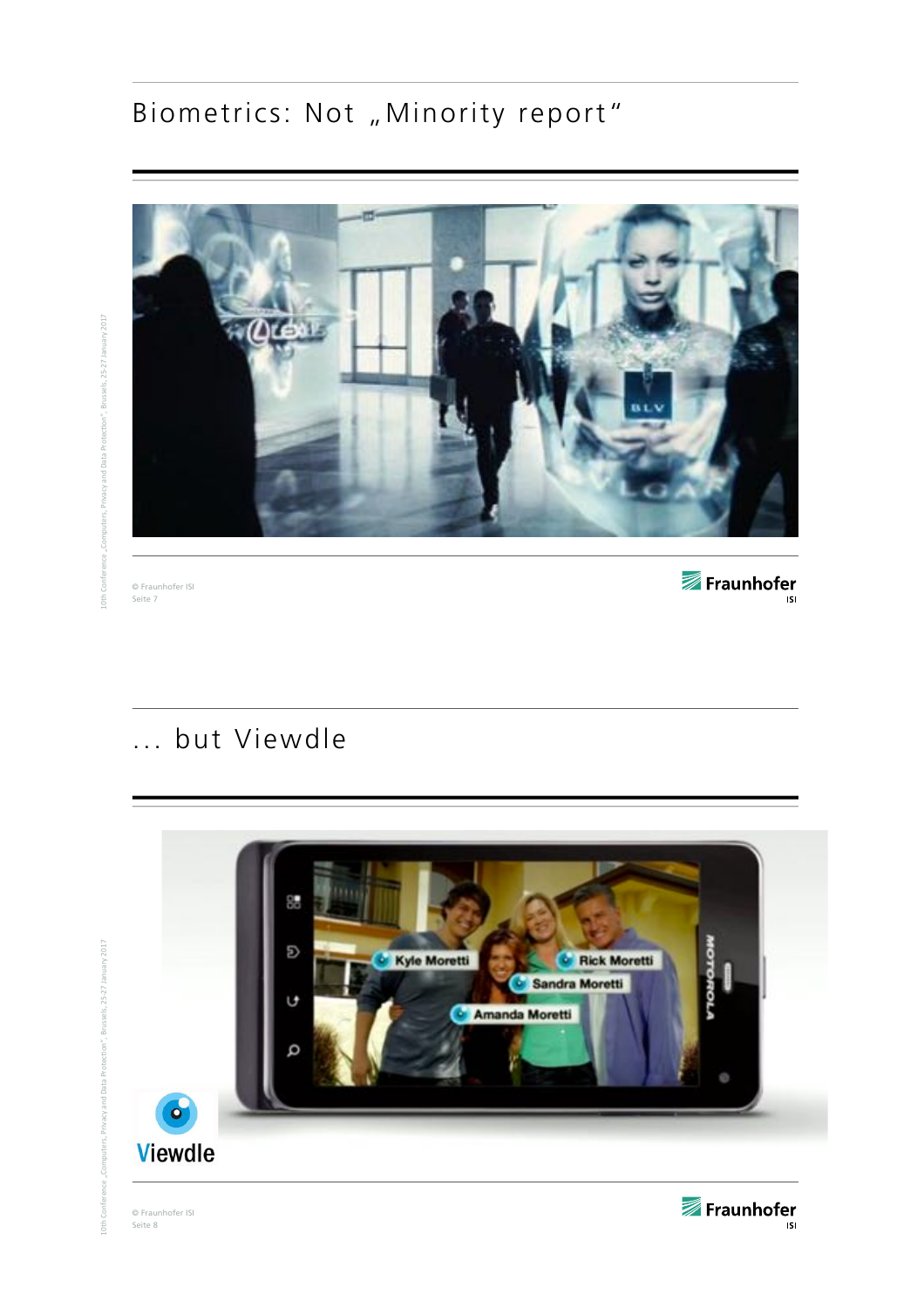# Biometrics: Not "Minority report"



© Fraunhofer ISI Seite 7

Fraunhofer

## ... but Viewdle



© Fraunhofer ISI Seite 8



 $2017$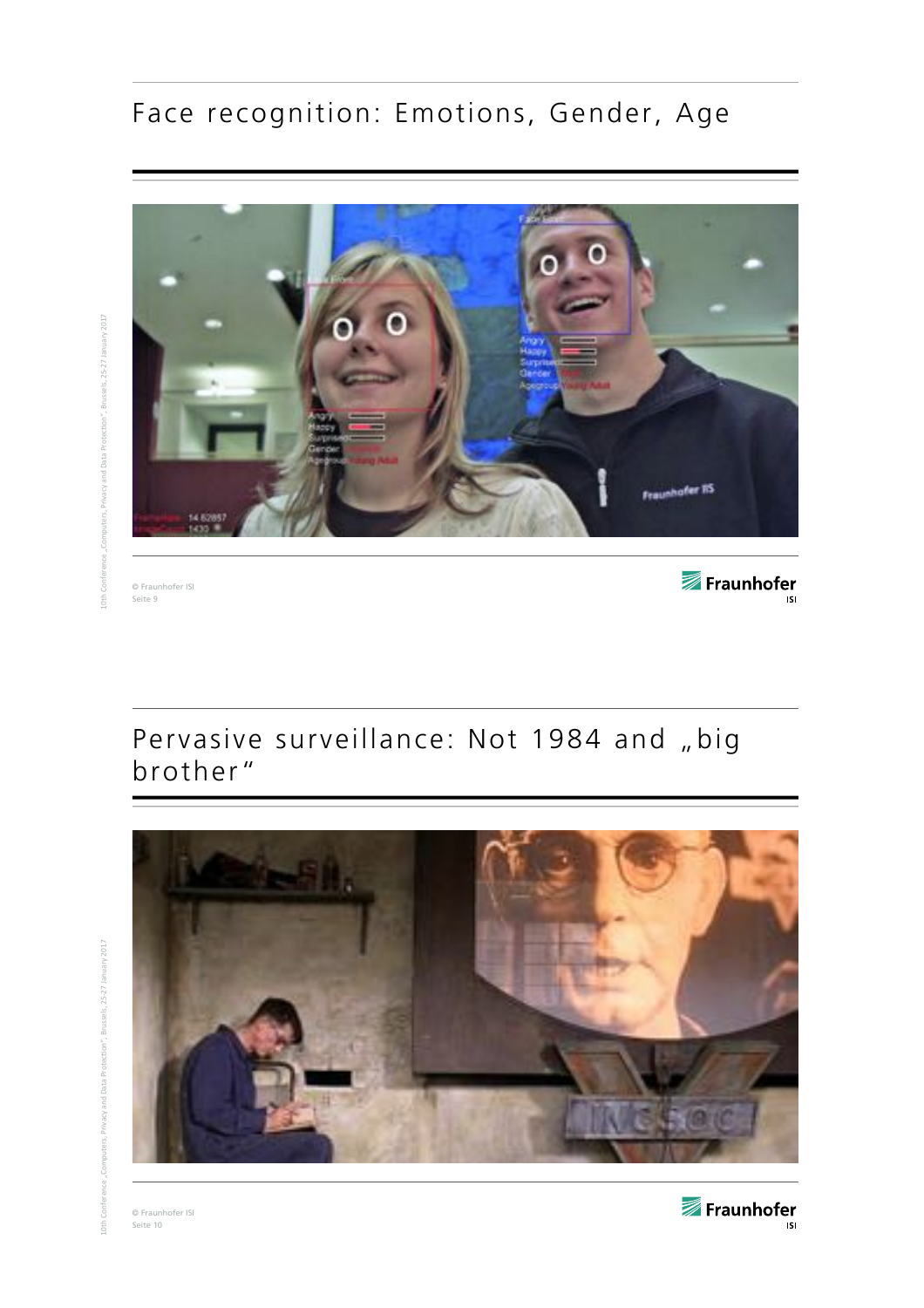# Face recognition: Emotions, Gender, Age



© Fraunhofer ISI Seite 9

Fraunhofer

## Pervasive surveillance: Not 1984 and "big brother"



© Fraunhofer ISI Seite 10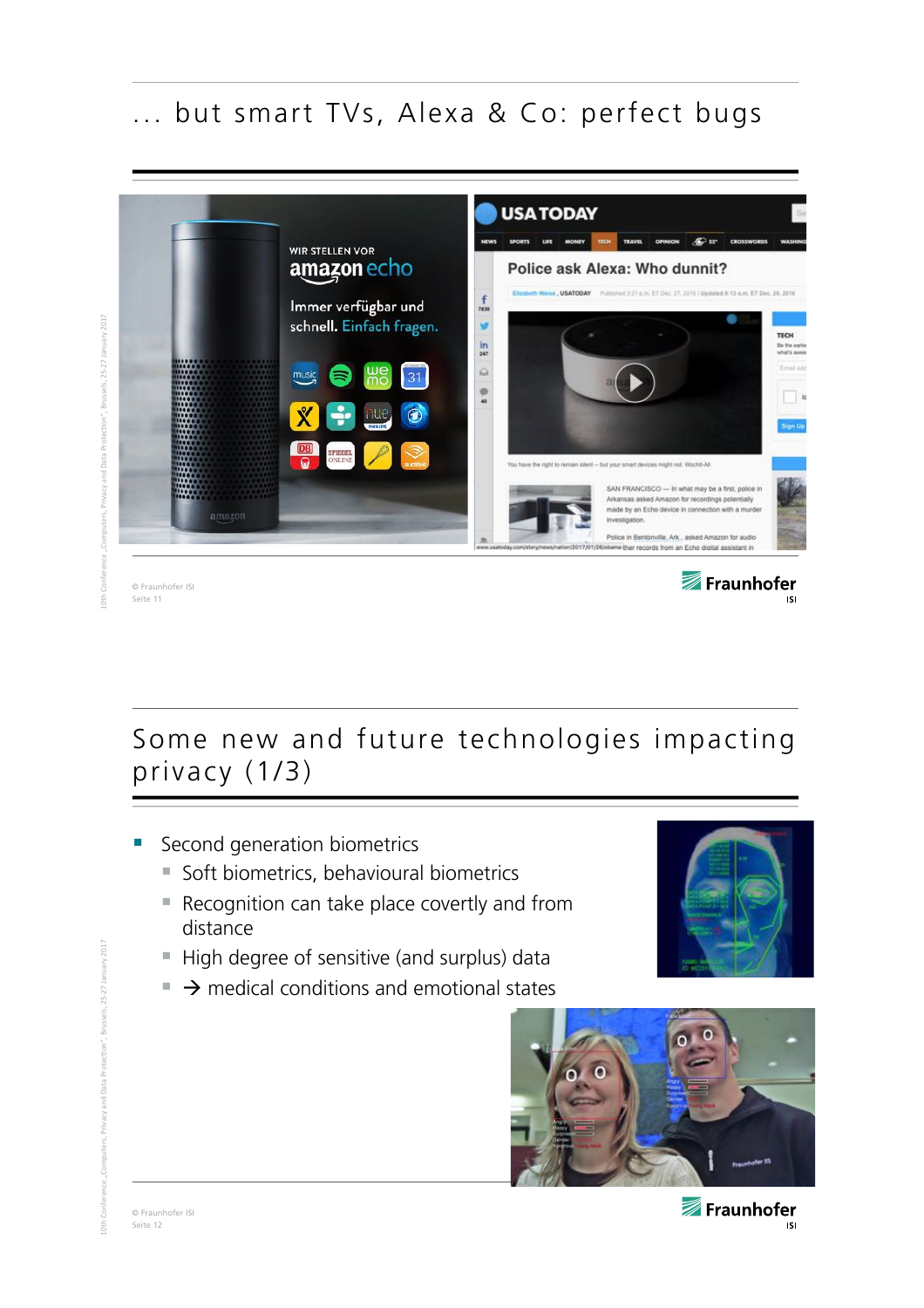## ... but smart TVs, Alexa & Co: perfect bugs



3russels, 25-27 January 2017  $10$ th $\,$  Conference "Computers, Privacy and Data Protection", Brussels, 25-27 January 2017

Seite 11

Some new and future technologies impacting privacy (1/3)

- § Second generation biometrics
	- Soft biometrics, behavioural biometrics
	- Recognition can take place covertly and from distance
	- High degree of sensitive (and surplus) data
	- $\rightarrow$  medical conditions and emotional states



**ISI** 

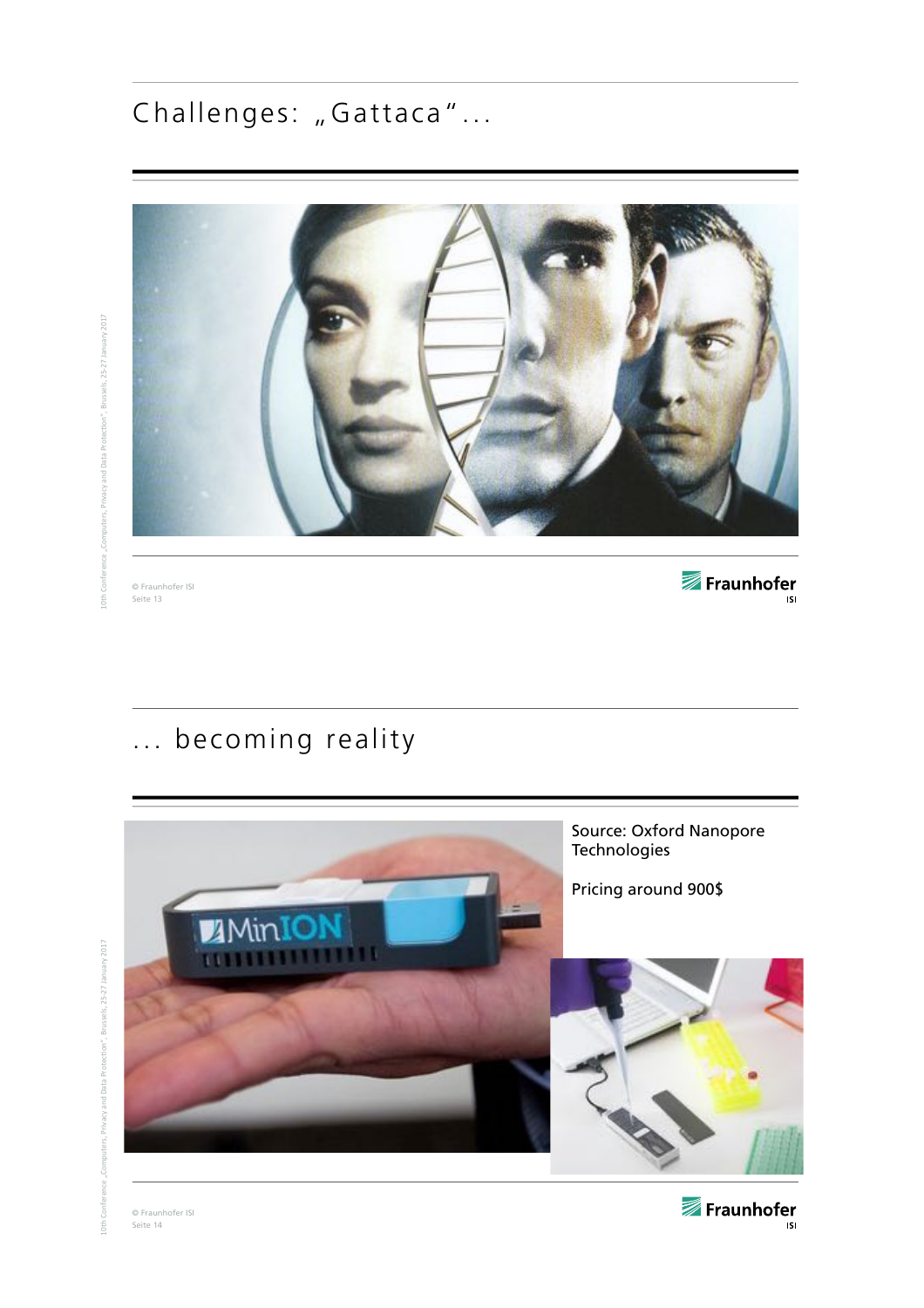# Challenges: "Gattaca"...



© Fraunhofer ISI Seite 13

Fraunhofer

# ... becoming reality



Fraunhofer  $\overline{\phantom{a}}$  is i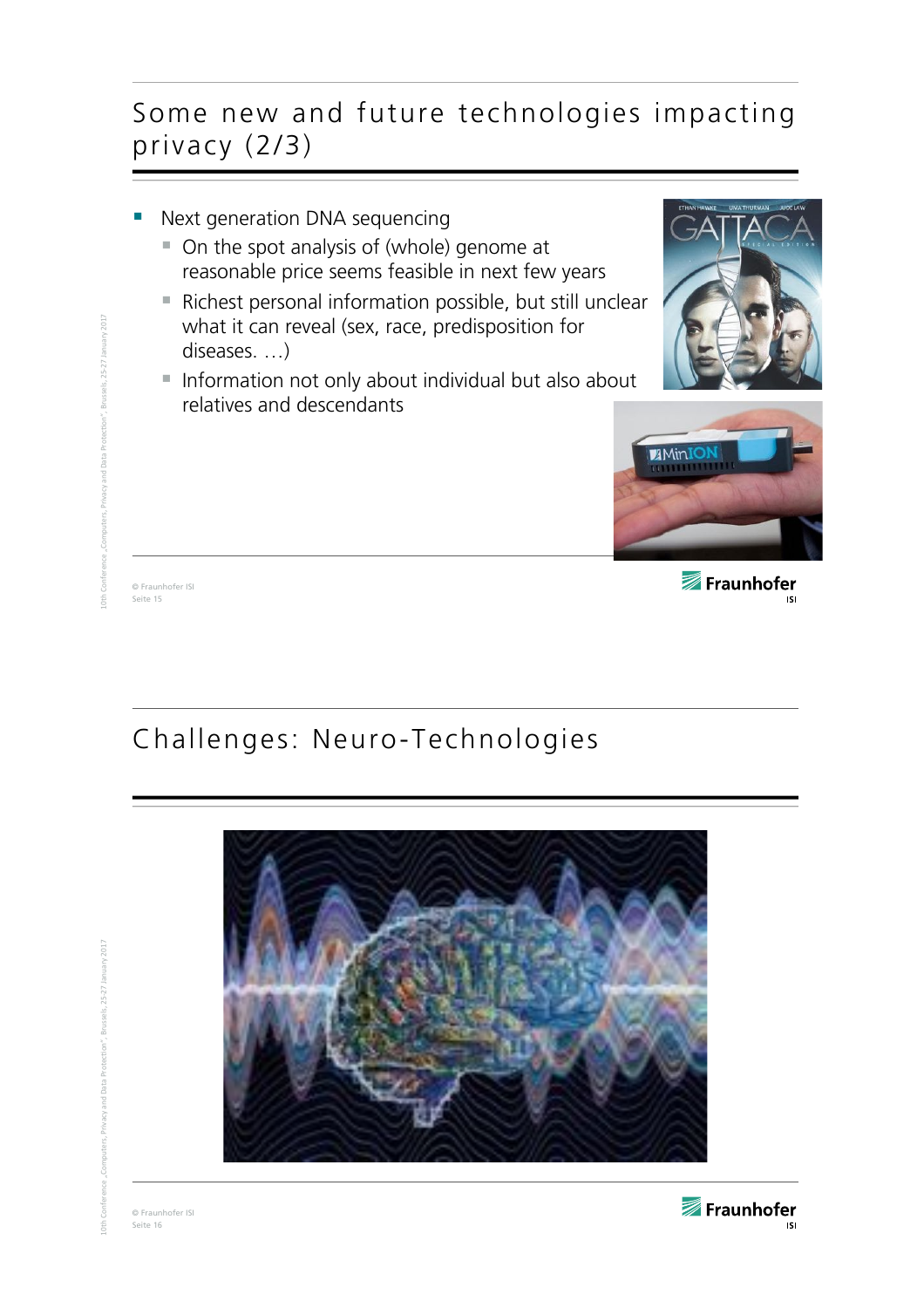### Some new and future technologies impacting privacy (2/3)

- Next generation DNA sequencing
	- On the spot analysis of (whole) genome at reasonable price seems feasible in next few years
	- Richest personal information possible, but still unclear what it can reveal (sex, race, predisposition for diseases. …)
	- Information not only about individual but also about relatives and descendants





© Fraunhofer ISI Seite 15

 $10$ th $\,$  Conference "Computers, Privacy and Data Protection", Brussels, 25-27 January 2017

<sub>2017</sub>

Fraunhofer **ISI** 

# Challenges: Neuro-Technologies



© Fraunhofer ISI Seite 16

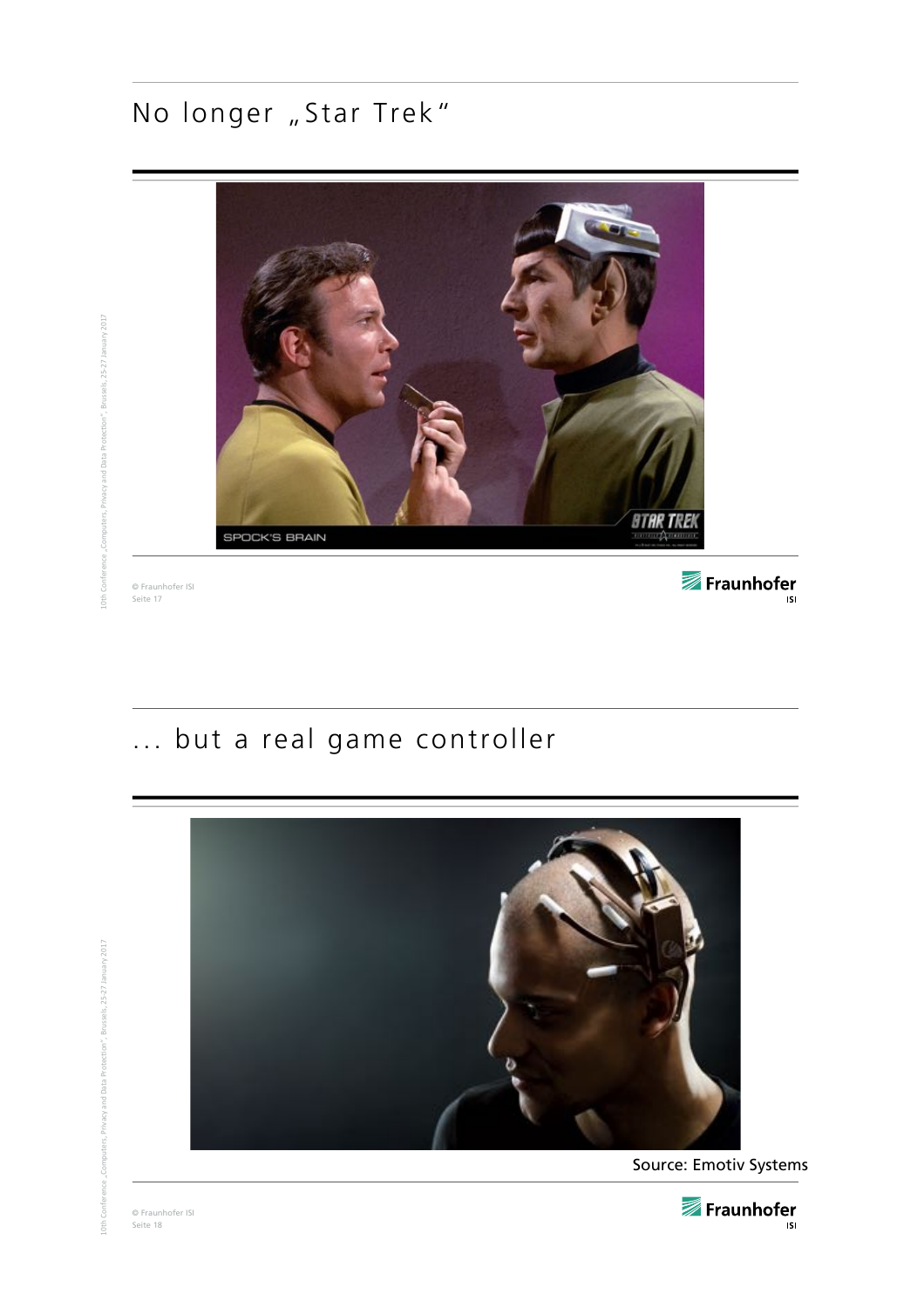# No longer "Star Trek"



© Fraunhofer ISI Seite 17

Fraunhofer

# ... but a real game controller



© Fraunhofer ISI Seite 18

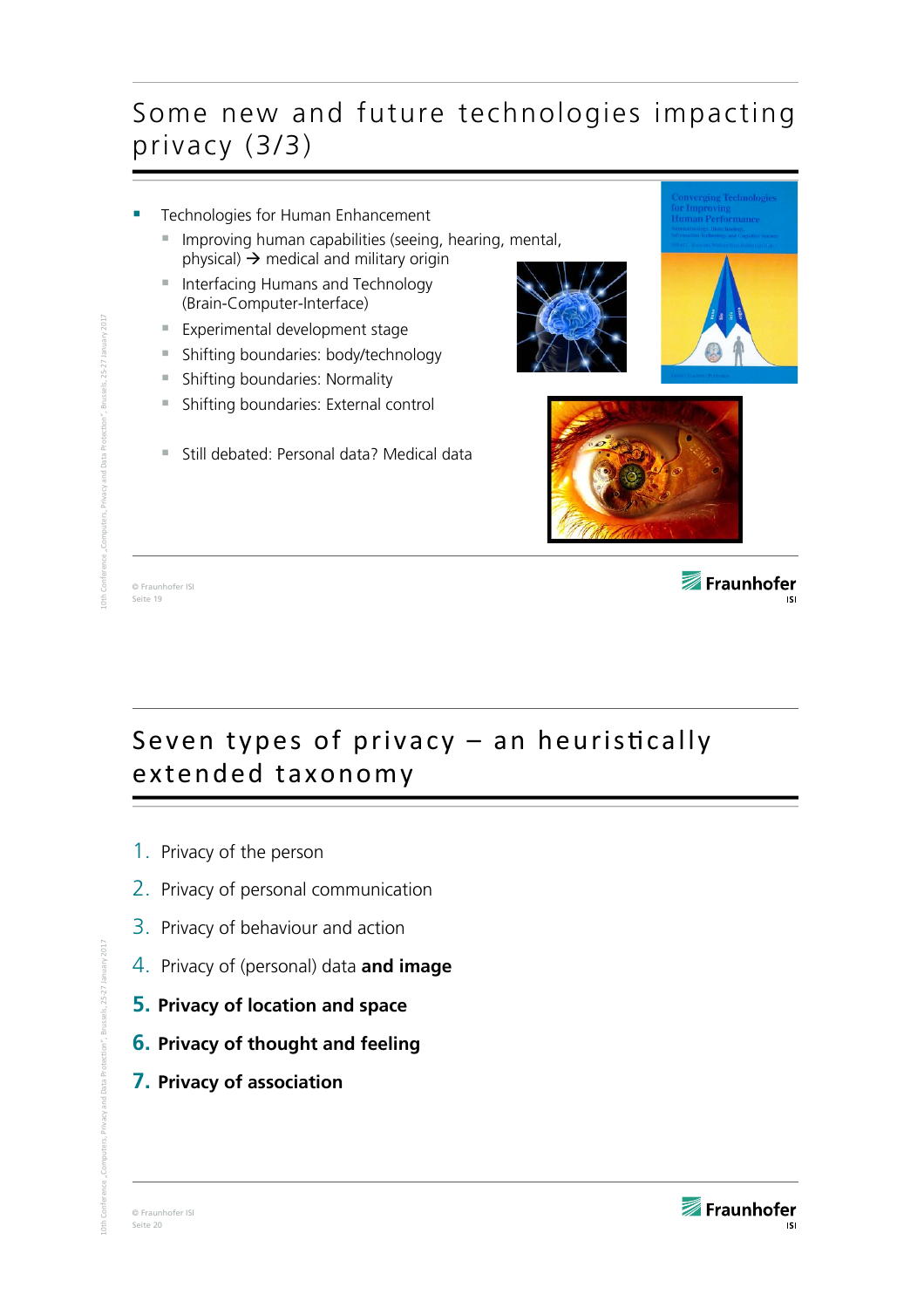## Some new and future technologies impacting privacy (3/3)



# Seven types of privacy  $-$  an heuristically extended taxonomy

- 1. Privacy of the person
- 2. Privacy of personal communication
- 3. Privacy of behaviour and action
- 4. Privacy of (personal) data **and image**
- **5. Privacy of location and space**
- **6. Privacy of thought and feeling**
- **7. Privacy of association**

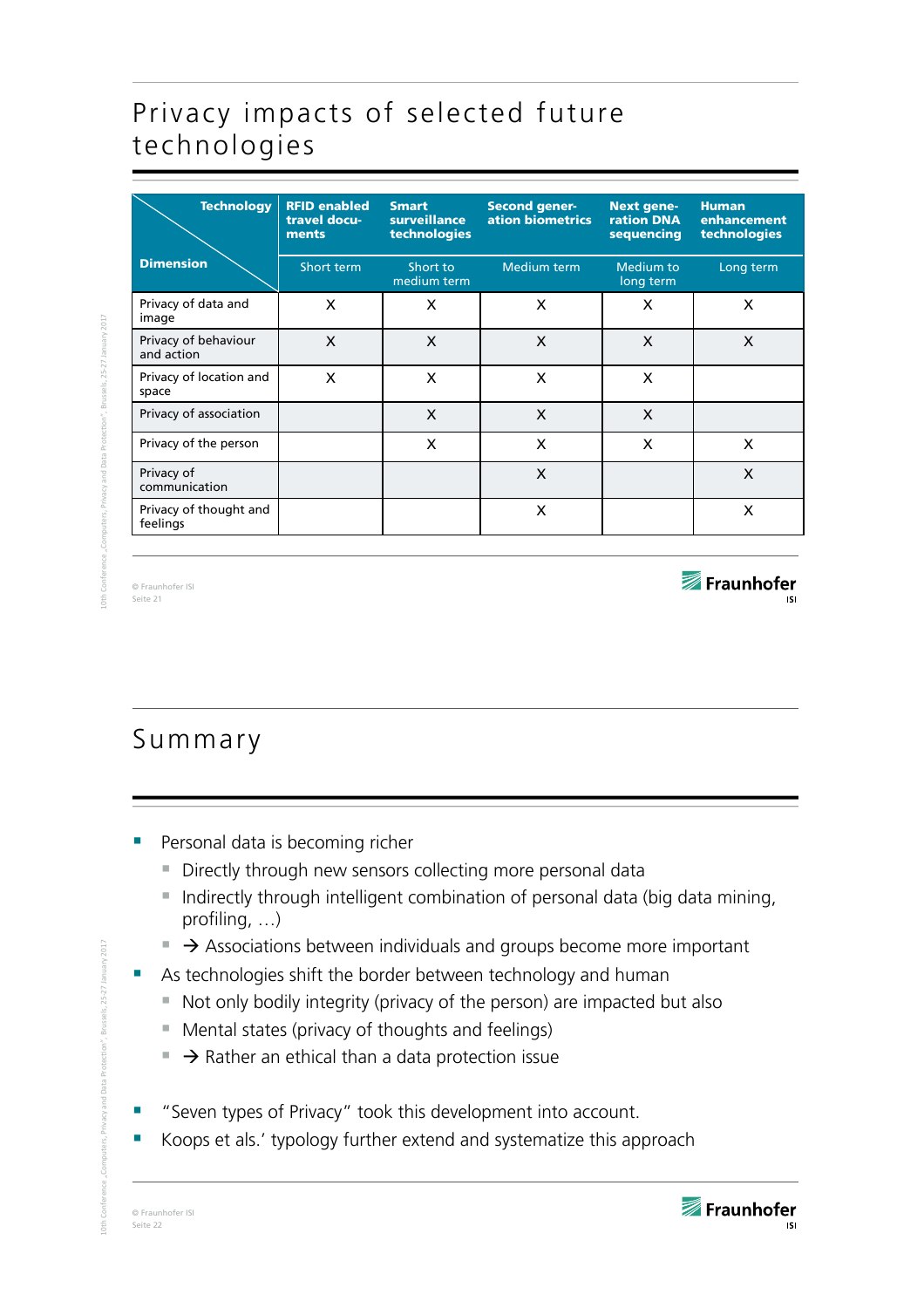# Privacy impacts of selected future technologies

| <b>Technology</b>                  | <b>RFID enabled</b><br>travel docu-<br>ments | <b>Smart</b><br><b>surveillance</b><br>technologies | <b>Second gener-</b><br>ation biometrics | <b>Next gene-</b><br><b>ration DNA</b><br>sequencing | <b>Human</b><br>enhancement<br>technologies |
|------------------------------------|----------------------------------------------|-----------------------------------------------------|------------------------------------------|------------------------------------------------------|---------------------------------------------|
| <b>Dimension</b>                   | Short term                                   | Short to<br>medium term                             | <b>Medium term</b>                       | <b>Medium to</b><br>long term                        | Long term                                   |
| Privacy of data and<br>image       | X                                            | X                                                   | X                                        | X                                                    | X                                           |
| Privacy of behaviour<br>and action | X                                            | X                                                   | $\mathsf{x}$                             | X                                                    | X                                           |
| Privacy of location and<br>space   | X                                            | X                                                   | X                                        | X                                                    |                                             |
| Privacy of association             |                                              | X                                                   | $\boldsymbol{\mathsf{x}}$                | $\boldsymbol{\mathsf{x}}$                            |                                             |
| Privacy of the person              |                                              | X                                                   | X                                        | X                                                    | X                                           |
| Privacy of<br>communication        |                                              |                                                     | X                                        |                                                      | X                                           |
| Privacy of thought and<br>feelings |                                              |                                                     | X                                        |                                                      | X                                           |
|                                    |                                              |                                                     |                                          |                                                      |                                             |

© Fraunhofer ISI Seite 21

Fraunhofer

# Summary

- Personal data is becoming richer
	- Directly through new sensors collecting more personal data
	- Indirectly through intelligent combination of personal data (big data mining, profiling, …)
	- $\rightarrow$  Associations between individuals and groups become more important
- As technologies shift the border between technology and human
	- Not only bodily integrity (privacy of the person) are impacted but also
	- Mental states (privacy of thoughts and feelings)
	- $\rightarrow$  Rather an ethical than a data protection issue
- "Seven types of Privacy" took this development into account.
- Koops et als.' typology further extend and systematize this approach